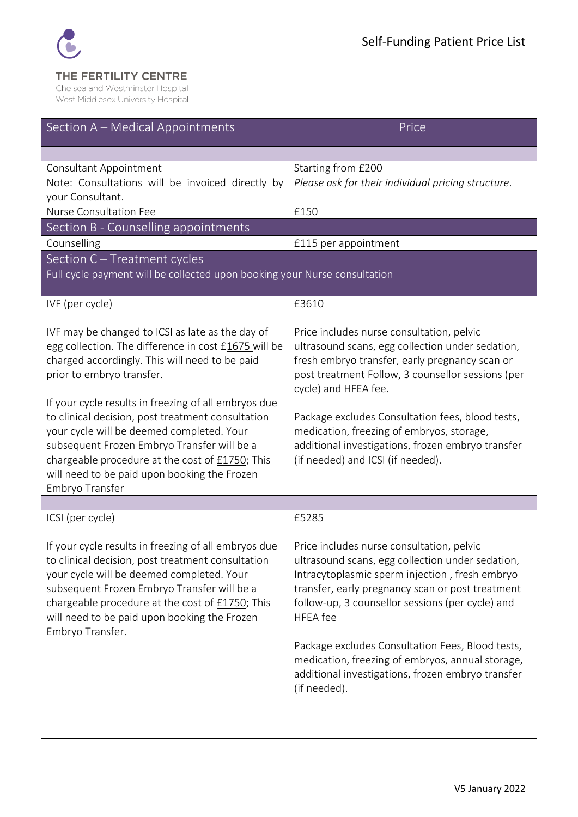

# THE FERTILITY CENTRE

Chelsea and Westminster Hospital West Middlesex University Hospital

| Section A - Medical Appointments                                                                                                                                                                                                                                                                                             | Price                                                                                                                                                                                                                                                                                                                                                                                                                                                   |  |
|------------------------------------------------------------------------------------------------------------------------------------------------------------------------------------------------------------------------------------------------------------------------------------------------------------------------------|---------------------------------------------------------------------------------------------------------------------------------------------------------------------------------------------------------------------------------------------------------------------------------------------------------------------------------------------------------------------------------------------------------------------------------------------------------|--|
|                                                                                                                                                                                                                                                                                                                              |                                                                                                                                                                                                                                                                                                                                                                                                                                                         |  |
| Consultant Appointment<br>Note: Consultations will be invoiced directly by<br>your Consultant.                                                                                                                                                                                                                               | Starting from £200<br>Please ask for their individual pricing structure.                                                                                                                                                                                                                                                                                                                                                                                |  |
| Nurse Consultation Fee                                                                                                                                                                                                                                                                                                       | £150                                                                                                                                                                                                                                                                                                                                                                                                                                                    |  |
| Section B - Counselling appointments                                                                                                                                                                                                                                                                                         |                                                                                                                                                                                                                                                                                                                                                                                                                                                         |  |
| Counselling                                                                                                                                                                                                                                                                                                                  | £115 per appointment                                                                                                                                                                                                                                                                                                                                                                                                                                    |  |
| Section C - Treatment cycles<br>Full cycle payment will be collected upon booking your Nurse consultation                                                                                                                                                                                                                    |                                                                                                                                                                                                                                                                                                                                                                                                                                                         |  |
| IVF (per cycle)                                                                                                                                                                                                                                                                                                              | £3610                                                                                                                                                                                                                                                                                                                                                                                                                                                   |  |
| IVF may be changed to ICSI as late as the day of<br>egg collection. The difference in cost £1675 will be<br>charged accordingly. This will need to be paid<br>prior to embryo transfer.<br>If your cycle results in freezing of all embryos due                                                                              | Price includes nurse consultation, pelvic<br>ultrasound scans, egg collection under sedation,<br>fresh embryo transfer, early pregnancy scan or<br>post treatment Follow, 3 counsellor sessions (per<br>cycle) and HFEA fee.                                                                                                                                                                                                                            |  |
| to clinical decision, post treatment consultation<br>your cycle will be deemed completed. Your<br>subsequent Frozen Embryo Transfer will be a<br>chargeable procedure at the cost of £1750; This<br>will need to be paid upon booking the Frozen<br>Embryo Transfer                                                          | Package excludes Consultation fees, blood tests,<br>medication, freezing of embryos, storage,<br>additional investigations, frozen embryo transfer<br>(if needed) and ICSI (if needed).                                                                                                                                                                                                                                                                 |  |
|                                                                                                                                                                                                                                                                                                                              |                                                                                                                                                                                                                                                                                                                                                                                                                                                         |  |
| ICSI (per cycle)                                                                                                                                                                                                                                                                                                             | £5285                                                                                                                                                                                                                                                                                                                                                                                                                                                   |  |
| If your cycle results in freezing of all embryos due<br>to clinical decision, post treatment consultation<br>your cycle will be deemed completed. Your<br>subsequent Frozen Embryo Transfer will be a<br>chargeable procedure at the cost of £1750; This<br>will need to be paid upon booking the Frozen<br>Embryo Transfer. | Price includes nurse consultation, pelvic<br>ultrasound scans, egg collection under sedation,<br>Intracytoplasmic sperm injection, fresh embryo<br>transfer, early pregnancy scan or post treatment<br>follow-up, 3 counsellor sessions (per cycle) and<br><b>HFEA</b> fee<br>Package excludes Consultation Fees, Blood tests,<br>medication, freezing of embryos, annual storage,<br>additional investigations, frozen embryo transfer<br>(if needed). |  |
|                                                                                                                                                                                                                                                                                                                              |                                                                                                                                                                                                                                                                                                                                                                                                                                                         |  |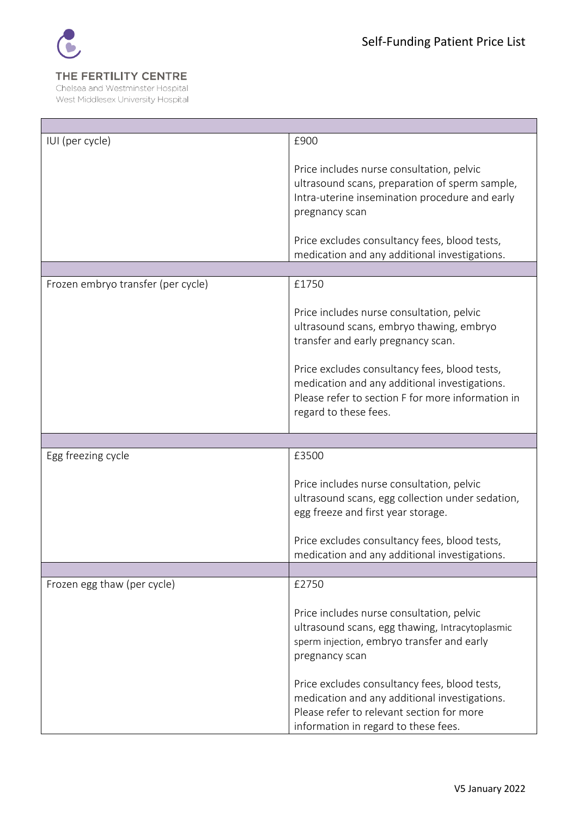

## THE FERTILITY CENTRE

Chelsea and Westminster Hospital West Middlesex University Hospital

| IUI (per cycle)                    | £900                                                                                                                                                                                                             |
|------------------------------------|------------------------------------------------------------------------------------------------------------------------------------------------------------------------------------------------------------------|
|                                    | Price includes nurse consultation, pelvic<br>ultrasound scans, preparation of sperm sample,<br>Intra-uterine insemination procedure and early<br>pregnancy scan<br>Price excludes consultancy fees, blood tests, |
|                                    | medication and any additional investigations.                                                                                                                                                                    |
|                                    |                                                                                                                                                                                                                  |
| Frozen embryo transfer (per cycle) | £1750                                                                                                                                                                                                            |
|                                    | Price includes nurse consultation, pelvic<br>ultrasound scans, embryo thawing, embryo<br>transfer and early pregnancy scan.                                                                                      |
|                                    | Price excludes consultancy fees, blood tests,<br>medication and any additional investigations.<br>Please refer to section F for more information in<br>regard to these fees.                                     |
|                                    |                                                                                                                                                                                                                  |
| Egg freezing cycle                 | £3500                                                                                                                                                                                                            |
|                                    | Price includes nurse consultation, pelvic<br>ultrasound scans, egg collection under sedation,<br>egg freeze and first year storage.                                                                              |
|                                    | Price excludes consultancy fees, blood tests,                                                                                                                                                                    |
|                                    | medication and any additional investigations.                                                                                                                                                                    |
| Frozen egg thaw (per cycle)        | £2750                                                                                                                                                                                                            |
|                                    | Price includes nurse consultation, pelvic<br>ultrasound scans, egg thawing, Intracytoplasmic<br>sperm injection, embryo transfer and early<br>pregnancy scan                                                     |
|                                    | Price excludes consultancy fees, blood tests,<br>medication and any additional investigations.<br>Please refer to relevant section for more<br>information in regard to these fees.                              |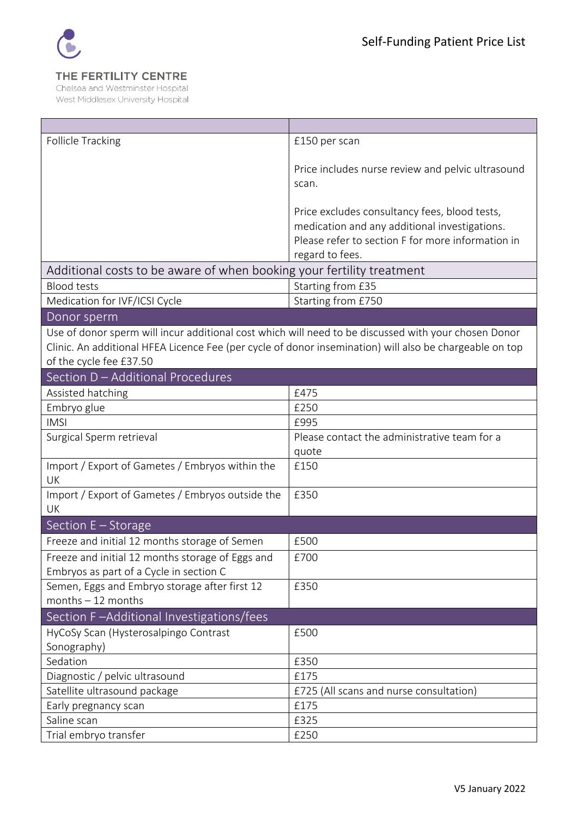

## THE FERTILITY CENTRE

Chelsea and Westminster Hospital West Middlesex University Hospital

| <b>Follicle Tracking</b>                                                                                | £150 per scan                                     |
|---------------------------------------------------------------------------------------------------------|---------------------------------------------------|
|                                                                                                         |                                                   |
|                                                                                                         | Price includes nurse review and pelvic ultrasound |
|                                                                                                         | scan.                                             |
|                                                                                                         |                                                   |
|                                                                                                         | Price excludes consultancy fees, blood tests,     |
|                                                                                                         | medication and any additional investigations.     |
|                                                                                                         | Please refer to section F for more information in |
|                                                                                                         | regard to fees.                                   |
| Additional costs to be aware of when booking your fertility treatment                                   |                                                   |
| <b>Blood tests</b>                                                                                      | Starting from £35                                 |
| Medication for IVF/ICSI Cycle                                                                           | Starting from £750                                |
| Donor sperm                                                                                             |                                                   |
| Use of donor sperm will incur additional cost which will need to be discussed with your chosen Donor    |                                                   |
| Clinic. An additional HFEA Licence Fee (per cycle of donor insemination) will also be chargeable on top |                                                   |
| of the cycle fee £37.50                                                                                 |                                                   |
| Section D - Additional Procedures                                                                       |                                                   |
| Assisted hatching                                                                                       | £475                                              |
| Embryo glue                                                                                             | £250                                              |
| <b>IMSI</b>                                                                                             | £995                                              |
| Surgical Sperm retrieval                                                                                | Please contact the administrative team for a      |
|                                                                                                         | quote                                             |
| Import / Export of Gametes / Embryos within the                                                         | £150                                              |
| UK                                                                                                      |                                                   |
| Import / Export of Gametes / Embryos outside the                                                        | £350                                              |
| <b>UK</b>                                                                                               |                                                   |
| Section E - Storage                                                                                     |                                                   |
| Freeze and initial 12 months storage of Semen                                                           | £500                                              |
| Freeze and initial 12 months storage of Eggs and                                                        | £700                                              |
| Embryos as part of a Cycle in section C                                                                 |                                                   |
| Semen, Eggs and Embryo storage after first 12                                                           | £350                                              |
| months $-12$ months                                                                                     |                                                   |
| Section F-Additional Investigations/fees                                                                |                                                   |
| HyCoSy Scan (Hysterosalpingo Contrast                                                                   | £500                                              |
| Sonography)                                                                                             |                                                   |
| Sedation                                                                                                | £350                                              |
| Diagnostic / pelvic ultrasound                                                                          | £175                                              |
| Satellite ultrasound package                                                                            | £725 (All scans and nurse consultation)           |
| Early pregnancy scan                                                                                    | £175                                              |
| Saline scan                                                                                             | £325                                              |
| Trial embryo transfer                                                                                   | £250                                              |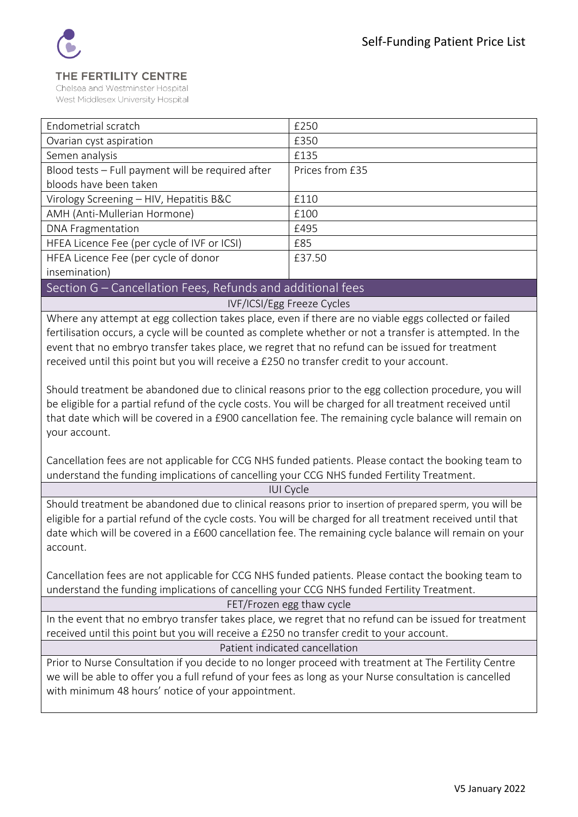

#### THE FERTILITY CENTRE

Chelsea and Westminster Hospital West Middlesex University Hospital

| Endometrial scratch                               | £250            |
|---------------------------------------------------|-----------------|
| Ovarian cyst aspiration                           | £350            |
| Semen analysis                                    | £135            |
| Blood tests - Full payment will be required after | Prices from £35 |
| bloods have been taken                            |                 |
| Virology Screening - HIV, Hepatitis B&C           | £110            |
| AMH (Anti-Mullerian Hormone)                      | £100            |
| <b>DNA Fragmentation</b>                          | £495            |
| HFEA Licence Fee (per cycle of IVF or ICSI)       | £85             |
| HFEA Licence Fee (per cycle of donor              | £37.50          |
| insemination)                                     |                 |

### Section G – Cancellation Fees, Refunds and additional fees

IVF/ICSI/Egg Freeze Cycles

Where any attempt at egg collection takes place, even if there are no viable eggs collected or failed fertilisation occurs, a cycle will be counted as complete whether or not a transfer is attempted. In the event that no embryo transfer takes place, we regret that no refund can be issued for treatment received until this point but you will receive a £250 no transfer credit to your account.

Should treatment be abandoned due to clinical reasons prior to the egg collection procedure, you will be eligible for a partial refund of the cycle costs. You will be charged for all treatment received until that date which will be covered in a £900 cancellation fee. The remaining cycle balance will remain on your account.

Cancellation fees are not applicable for CCG NHS funded patients. Please contact the booking team to understand the funding implications of cancelling your CCG NHS funded Fertility Treatment.

IUI Cycle

Should treatment be abandoned due to clinical reasons prior to insertion of prepared sperm, you will be eligible for a partial refund of the cycle costs. You will be charged for all treatment received until that date which will be covered in a £600 cancellation fee. The remaining cycle balance will remain on your account.

Cancellation fees are not applicable for CCG NHS funded patients. Please contact the booking team to understand the funding implications of cancelling your CCG NHS funded Fertility Treatment.

FET/Frozen egg thaw cycle

In the event that no embryo transfer takes place, we regret that no refund can be issued for treatment received until this point but you will receive a £250 no transfer credit to your account.

Patient indicated cancellation

Prior to Nurse Consultation if you decide to no longer proceed with treatment at The Fertility Centre we will be able to offer you a full refund of your fees as long as your Nurse consultation is cancelled with minimum 48 hours' notice of your appointment.